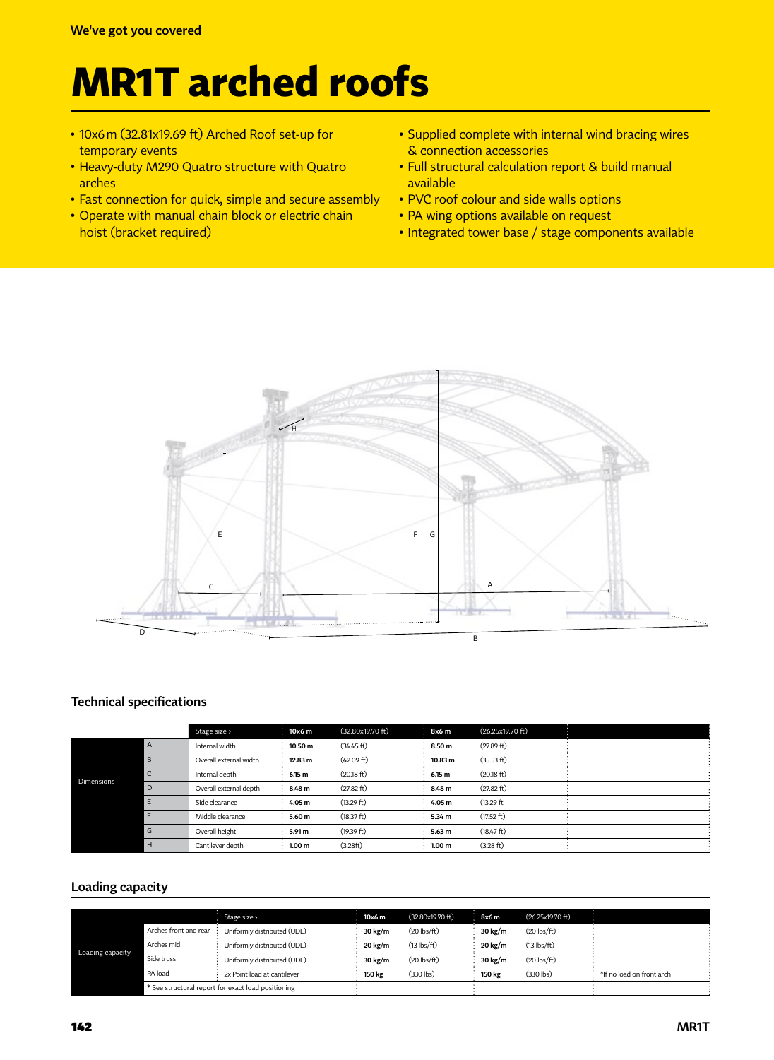# **MR1T arched roofs**

- 10x6m (32.81x19.69 ft) Arched Roof set-up for temporary events
- Heavy-duty M290 Quatro structure with Quatro arches
- Fast connection for quick, simple and secure assembly
- Operate with manual chain block or electric chain hoist (bracket required)
- Supplied complete with internal wind bracing wires & connection accessories
- Full structural calculation report & build manual available
- PVC roof colour and side walls options
- PA wing options available on request
- Integrated tower base / stage components available



### **Technical specifications**

|                   |   | Stage size >           | 10x6 m  | (32.80x19.70 ft) | 8x6 m             | (26.25x19.70 ft) |  |
|-------------------|---|------------------------|---------|------------------|-------------------|------------------|--|
|                   | A | Internal width         | 10.50 m | (34.45 ft)       | 8.50 m            | (27.89 ft)       |  |
|                   | B | Overall external width | 12.83 m | (42.09 ft)       | 10.83 m           | (35.53 ft)       |  |
|                   | C | Internal depth         | 6.15 m  | (20.18 ft)       | 6.15 m            | (20.18 ft)       |  |
| <b>Dimensions</b> | D | Overall external depth | 8.48 m  | (27.82 ft)       | 8.48 m            | (27.82 ft)       |  |
|                   |   | Side clearance         | 4.05 m  | (13.29 ft)       | 4.05 m            | (13.29 ft)       |  |
|                   |   | Middle clearance       | 5.60 m  | (18.37 ft)       | 5.34 m            | (17.52 ft)       |  |
|                   | G | Overall height         | 5.91 m  | (19.39 ft)       | 5.63 <sub>m</sub> | (18.47 ft)       |  |
|                   | H | Cantilever depth       | 1.00 m  | (3.28ft)         | 1.00 m            | (3.28 ft)        |  |

#### **Loading capacity**

|                  |                                                    | Stage size >                | 10x6 m  | (32.80x19.70 ft) | 8x6 m             | (26.25x19.70 ft) |                           |
|------------------|----------------------------------------------------|-----------------------------|---------|------------------|-------------------|------------------|---------------------------|
| Loading capacity | Arches front and rear                              | Uniformly distributed (UDL) | 30 kg/m | $(20$ lbs/ft)    | $30 \text{ kg/m}$ | $(20$ lbs/ft $)$ |                           |
|                  | Arches mid                                         | Uniformly distributed (UDL) | 20 kg/m | $(13$ lbs/ft)    | 20 kg/m           | $(13$ lbs/ft)    |                           |
|                  | Side truss                                         | Uniformly distributed (UDL) | 30 kg/m | $(20$ lbs/ft $)$ | $30 \text{ kg/m}$ | $(20$ lbs/ft $)$ |                           |
|                  | PA load                                            | 2x Point load at cantilever | 150 kg  | $(330$ lbs)      | 150 kg            | $(330$ lbs)      | *If no load on front arch |
|                  | * See structural report for exact load positioning |                             |         |                  |                   |                  |                           |